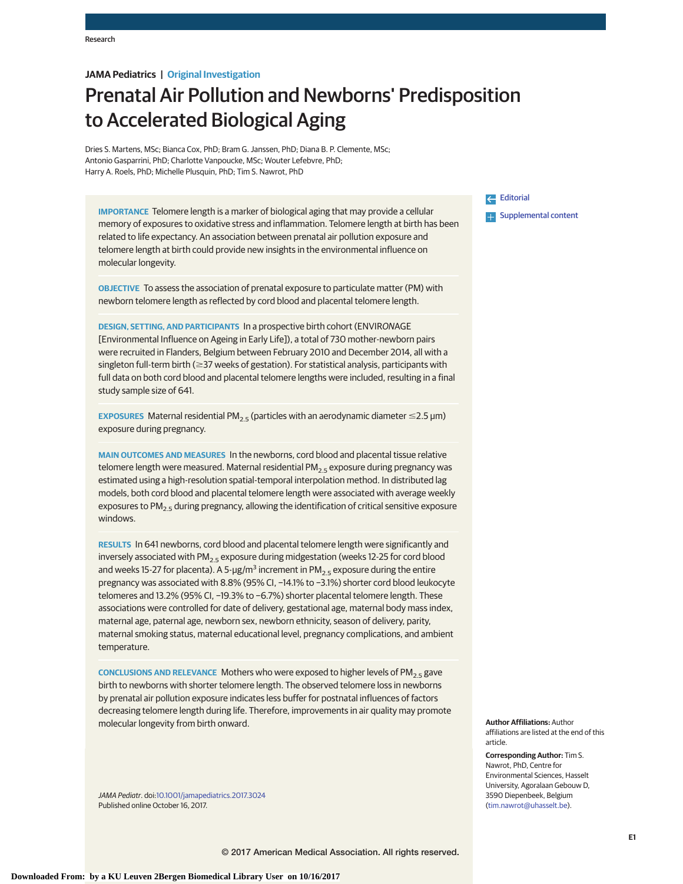## **JAMA Pediatrics | Original Investigation**

# Prenatal Air Pollution and Newborns' Predisposition to Accelerated Biological Aging

Dries S. Martens, MSc; Bianca Cox, PhD; Bram G. Janssen, PhD; Diana B. P. Clemente, MSc; Antonio Gasparrini, PhD; Charlotte Vanpoucke, MSc; Wouter Lefebvre, PhD; Harry A. Roels, PhD; Michelle Plusquin, PhD; Tim S. Nawrot, PhD

**IMPORTANCE** Telomere length is a marker of biological aging that may provide a cellular memory of exposures to oxidative stress and inflammation. Telomere length at birth has been related to life expectancy. An association between prenatal air pollution exposure and telomere length at birth could provide new insights in the environmental influence on molecular longevity.

**OBJECTIVE** To assess the association of prenatal exposure to particulate matter (PM) with newborn telomere length as reflected by cord blood and placental telomere length.

**DESIGN, SETTING, AND PARTICIPANTS** In a prospective birth cohort (ENVIRONAGE [Environmental Influence on Ageing in Early Life]), a total of 730 mother-newborn pairs were recruited in Flanders, Belgium between February 2010 and December 2014, all with a singleton full-term birth ( $\geq$ 37 weeks of gestation). For statistical analysis, participants with full data on both cord blood and placental telomere lengths were included, resulting in a final study sample size of 641.

**EXPOSURES** Maternal residential PM<sub>2.5</sub> (particles with an aerodynamic diameter  $\leq$ 2.5 µm) exposure during pregnancy.

**MAIN OUTCOMES AND MEASURES** In the newborns, cord blood and placental tissue relative telomere length were measured. Maternal residential PM<sub>2.5</sub> exposure during pregnancy was estimated using a high-resolution spatial-temporal interpolation method. In distributed lag models, both cord blood and placental telomere length were associated with average weekly exposures to PM<sub>2.5</sub> during pregnancy, allowing the identification of critical sensitive exposure windows.

**RESULTS** In 641 newborns, cord blood and placental telomere length were significantly and inversely associated with  $PM<sub>2.5</sub>$  exposure during midgestation (weeks 12-25 for cord blood and weeks 15-27 for placenta). A 5- $\mu$ g/m<sup>3</sup> increment in PM<sub>2.5</sub> exposure during the entire pregnancy was associated with 8.8% (95% CI, −14.1% to −3.1%) shorter cord blood leukocyte telomeres and 13.2% (95% CI, −19.3% to −6.7%) shorter placental telomere length. These associations were controlled for date of delivery, gestational age, maternal body mass index, maternal age, paternal age, newborn sex, newborn ethnicity, season of delivery, parity, maternal smoking status, maternal educational level, pregnancy complications, and ambient temperature.

**CONCLUSIONS AND RELEVANCE** Mothers who were exposed to higher levels of PM<sub>2.5</sub> gave birth to newborns with shorter telomere length. The observed telomere loss in newborns by prenatal air pollution exposure indicates less buffer for postnatal influences of factors decreasing telomere length during life. Therefore, improvements in air quality may promote molecular longevity from birth onward.

JAMA Pediatr. doi[:10.1001/jamapediatrics.2017.3024](http://jama.jamanetwork.com/article.aspx?doi=10.1001/jamapediatrics.2017.3024&utm_campaign=articlePDF%26utm_medium=articlePDFlink%26utm_source=articlePDF%26utm_content=jamapediatrics.2017.3024) Published online October 16, 2017.

## [Editorial](http://jama.jamanetwork.com/article.aspx?doi=10.1001/jamapediatrics.2017.3562&utm_campaign=articlePDF%26utm_medium=articlePDFlink%26utm_source=articlePDF%26utm_content=jamapediatrics.2017.3024)

**[Supplemental content](http://jama.jamanetwork.com/article.aspx?doi=10.1001/jamapediatrics.2017.3024&utm_campaign=articlePDF%26utm_medium=articlePDFlink%26utm_source=articlePDF%26utm_content=jamapediatrics.2017.3024)** 

**Author Affiliations:** Author affiliations are listed at the end of this article.

**Corresponding Author:** Tim S. Nawrot, PhD, Centre for Environmental Sciences, Hasselt University, Agoralaan Gebouw D, 3590 Diepenbeek, Belgium [\(tim.nawrot@uhasselt.be\)](mailto:tim.nawrot@uhasselt.be).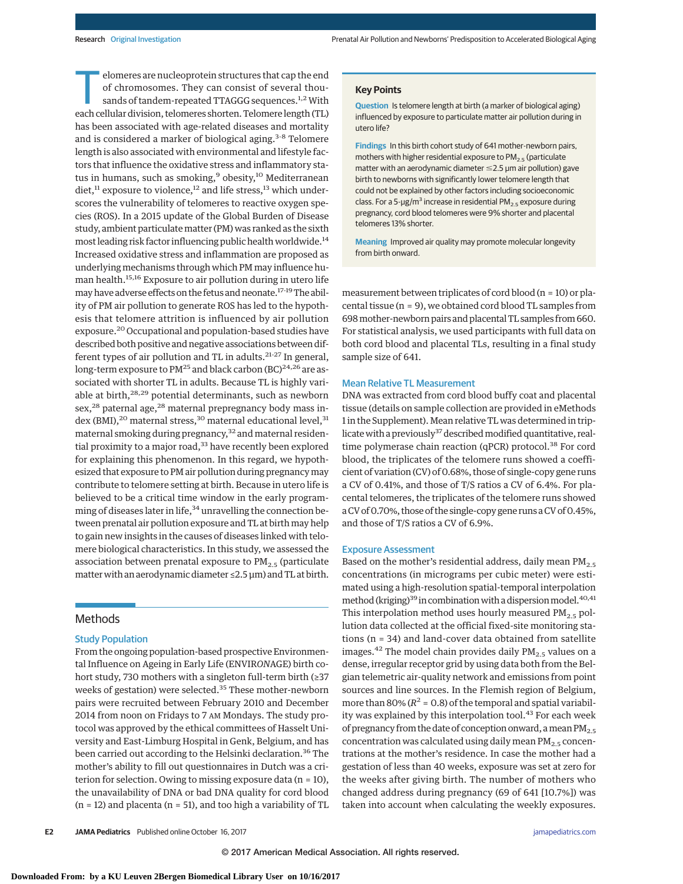elomeres are nucleoprotein structures that cap the end of chromosomes. They can consist of several thousands of tandem-repeated TTAGGG sequences.<sup>1,2</sup> With each cellular division, telomeres shorten. Telomere length (TL) has been associated with age-related diseases and mortality and is considered a marker of biological aging.<sup>3-8</sup> Telomere length is also associated with environmental and lifestyle factors that influence the oxidative stress and inflammatory status in humans, such as smoking,<sup>9</sup> obesity,<sup>10</sup> Mediterranean diet,<sup>11</sup> exposure to violence,<sup>12</sup> and life stress,<sup>13</sup> which underscores the vulnerability of telomeres to reactive oxygen species (ROS). In a 2015 update of the Global Burden of Disease study, ambient particulatematter (PM) was ranked as the sixth most leading risk factor influencing public health worldwide.<sup>14</sup> Increased oxidative stress and inflammation are proposed as underlying mechanisms through which PM may influence human health.<sup>15,16</sup> Exposure to air pollution during in utero life may have adverse effects on the fetus and neonate.<sup>17-19</sup> The ability of PM air pollution to generate ROS has led to the hypothesis that telomere attrition is influenced by air pollution exposure.20 Occupational and population-based studies have described both positive and negative associations between different types of air pollution and TL in adults.<sup>21-27</sup> In general, long-term exposure to PM<sup>25</sup> and black carbon (BC)<sup>24,26</sup> are associated with shorter TL in adults. Because TL is highly variable at birth,<sup>28,29</sup> potential determinants, such as newborn sex,<sup>28</sup> paternal age,<sup>28</sup> maternal prepregnancy body mass index (BMI), $^{20}$  maternal stress, $^{30}$  maternal educational level, $^{31}$ maternal smoking during pregnancy,<sup>32</sup> and maternal residential proximity to a major road, $33$  have recently been explored for explaining this phenomenon. In this regard, we hypothesized that exposure to PM air pollution during pregnancy may contribute to telomere setting at birth. Because in utero life is believed to be a critical time window in the early programming of diseases later in life,<sup>34</sup> unravelling the connection between prenatal air pollution exposure and TL at birth may help to gain new insights in the causes of diseases linked with telomere biological characteristics. In this study, we assessed the association between prenatal exposure to  $PM_{2.5}$  (particulate matter with an aerodynamic diameter ≤2.5 μm) and TL at birth.

## Methods

#### Study Population

From the ongoing population-based prospective Environmental Influence on Ageing in Early Life (ENVIR*ON*AGE) birth cohort study, 730 mothers with a singleton full-term birth (≥37 weeks of gestation) were selected.<sup>35</sup> These mother-newborn pairs were recruited between February 2010 and December 2014 from noon on Fridays to 7 AM Mondays. The study protocol was approved by the ethical committees of Hasselt University and East-Limburg Hospital in Genk, Belgium, and has been carried out according to the Helsinki declaration.<sup>36</sup> The mother's ability to fill out questionnaires in Dutch was a criterion for selection. Owing to missing exposure data (n = 10), the unavailability of DNA or bad DNA quality for cord blood  $(n = 12)$  and placenta  $(n = 51)$ , and too high a variability of TL **Question** Is telomere length at birth (a marker of biological aging) influenced by exposure to particulate matter air pollution during in utero life?

**Findings** In this birth cohort study of 641 mother-newborn pairs, mothers with higher residential exposure to  $PM_{2.5}$  (particulate matter with an aerodynamic diameter  $\leq$  2.5  $\mu$ m air pollution) gave birth to newborns with significantly lower telomere length that could not be explained by other factors including socioeconomic class. For a 5- $\mu$ g/m<sup>3</sup> increase in residential PM<sub>2.5</sub> exposure during pregnancy, cord blood telomeres were 9% shorter and placental telomeres 13% shorter.

**Meaning** Improved air quality may promote molecular longevity from birth onward.

measurement between triplicates of cord blood (n = 10) or placental tissue (n = 9), we obtained cord blood TL samples from 698mother-newborn pairs and placental TL samples from 660. For statistical analysis, we used participants with full data on both cord blood and placental TLs, resulting in a final study sample size of 641.

#### Mean Relative TL Measurement

DNA was extracted from cord blood buffy coat and placental tissue (details on sample collection are provided in eMethods 1 in the Supplement). Mean relative TL was determined in triplicate with a previously<sup>37</sup> described modified quantitative, realtime polymerase chain reaction (qPCR) protocol.<sup>38</sup> For cord blood, the triplicates of the telomere runs showed a coefficient of variation (CV) of 0.68%, those of single-copy gene runs a CV of 0.41%, and those of T/S ratios a CV of 6.4%. For placental telomeres, the triplicates of the telomere runs showed a CV of 0.70%, those of the single-copy gene runs a CV of 0.45%, and those of T/S ratios a CV of 6.9%.

#### Exposure Assessment

Based on the mother's residential address, daily mean  $PM_{2.5}$ concentrations (in micrograms per cubic meter) were estimated using a high-resolution spatial-temporal interpolation method (kriging)<sup>39</sup> in combination with a dispersion model.<sup>40,41</sup> This interpolation method uses hourly measured  $PM<sub>2.5</sub>$  pollution data collected at the official fixed-site monitoring stations (n = 34) and land-cover data obtained from satellite images.<sup>42</sup> The model chain provides daily  $PM_{2.5}$  values on a dense, irregular receptor grid by using data both from the Belgian telemetric air-quality network and emissions from point sources and line sources. In the Flemish region of Belgium, more than 80% ( $R^2$  = 0.8) of the temporal and spatial variability was explained by this interpolation tool.<sup>43</sup> For each week of pregnancy from the date of conception onward, a mean  $PM_{2.5}$ concentration was calculated using daily mean  $PM_{2.5}$  concentrations at the mother's residence. In case the mother had a gestation of less than 40 weeks, exposure was set at zero for the weeks after giving birth. The number of mothers who changed address during pregnancy (69 of 641 [10.7%]) was taken into account when calculating the weekly exposures.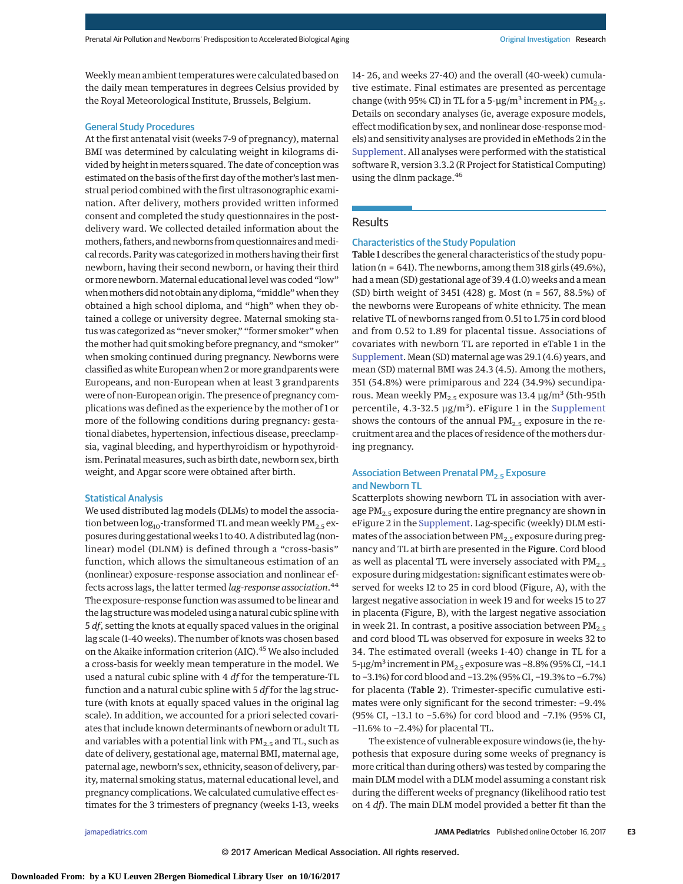Weekly mean ambient temperatures were calculated based on the daily mean temperatures in degrees Celsius provided by the Royal Meteorological Institute, Brussels, Belgium.

## General Study Procedures

At the first antenatal visit (weeks 7-9 of pregnancy), maternal BMI was determined by calculating weight in kilograms divided by height in meters squared. The date of conception was estimated on the basis of the first day of the mother's last menstrual period combined with the first ultrasonographic examination. After delivery, mothers provided written informed consent and completed the study questionnaires in the postdelivery ward. We collected detailed information about the mothers, fathers, and newborns from questionnaires and medical records. Parity was categorized inmothers having their first newborn, having their second newborn, or having their third ormore newborn.Maternal educational level was coded "low" when mothers did not obtain any diploma, "middle" when they obtained a high school diploma, and "high" when they obtained a college or university degree. Maternal smoking status was categorized as "never smoker," "former smoker" when the mother had quit smoking before pregnancy, and "smoker" when smoking continued during pregnancy. Newborns were classified aswhite Europeanwhen 2 ormore grandparentswere Europeans, and non-European when at least 3 grandparents were of non-European origin. The presence of pregnancy complications was defined as the experience by the mother of 1 or more of the following conditions during pregnancy: gestational diabetes, hypertension, infectious disease, preeclampsia, vaginal bleeding, and hyperthyroidism or hypothyroidism. Perinatalmeasures, such as birth date, newborn sex, birth weight, and Apgar score were obtained after birth.

#### Statistical Analysis

We used distributed lag models (DLMs) to model the association between  $\log_{10}$ -transformed TL and mean weekly PM<sub>2.5</sub> exposures during gestationalweeks 1 to 40. A distributed lag (nonlinear) model (DLNM) is defined through a "cross-basis" function, which allows the simultaneous estimation of an (nonlinear) exposure-response association and nonlinear effects across lags, the latter termed *lag-response association*. 44 The exposure-response function was assumed to be linear and the lag structure was modeled using a natural cubic spline with 5 *df*, setting the knots at equally spaced values in the original lag scale (1-40 weeks). The number of knots was chosen based on the Akaike information criterion (AIC).<sup>45</sup> We also included a cross-basis for weekly mean temperature in the model. We used a natural cubic spline with 4 *df* for the temperature-TL function and a natural cubic spline with 5 *df* for the lag structure (with knots at equally spaced values in the original lag scale). In addition, we accounted for a priori selected covariates that include known determinants of newborn or adult TL and variables with a potential link with  $PM_{2.5}$  and TL, such as date of delivery, gestational age, maternal BMI, maternal age, paternal age, newborn's sex, ethnicity, season of delivery, parity, maternal smoking status, maternal educational level, and pregnancy complications.We calculated cumulative effect estimates for the 3 trimesters of pregnancy (weeks 1-13, weeks

14- 26, and weeks 27-40) and the overall (40-week) cumulative estimate. Final estimates are presented as percentage change (with 95% CI) in TL for a 5- $\mu$ g/m<sup>3</sup> increment in PM<sub>2.5</sub>. Details on secondary analyses (ie, average exposure models, effect modification by sex, and nonlinear dose-response models) and sensitivity analyses are provided in eMethods 2 in the [Supplement.](http://jama.jamanetwork.com/article.aspx?doi=10.1001/jamapediatrics.2017.3024&utm_campaign=articlePDF%26utm_medium=articlePDFlink%26utm_source=articlePDF%26utm_content=jamapediatrics.2017.3024) All analyses were performed with the statistical software R, version 3.3.2 (R Project for Statistical Computing) using the dlnm package.<sup>46</sup>

## Results

#### Characteristics of the Study Population

Table 1 describes the general characteristics of the study population (n = 641). The newborns, among them 318 girls (49.6%), had a mean (SD) gestational age of 39.4 (1.0) weeks and a mean (SD) birth weight of 3451 (428) g. Most (n = 567, 88.5%) of the newborns were Europeans of white ethnicity. The mean relative TL of newborns ranged from 0.51 to 1.75 in cord blood and from 0.52 to 1.89 for placental tissue. Associations of covariates with newborn TL are reported in eTable 1 in the [Supplement.](http://jama.jamanetwork.com/article.aspx?doi=10.1001/jamapediatrics.2017.3024&utm_campaign=articlePDF%26utm_medium=articlePDFlink%26utm_source=articlePDF%26utm_content=jamapediatrics.2017.3024) Mean (SD) maternal age was 29.1 (4.6) years, and mean (SD) maternal BMI was 24.3 (4.5). Among the mothers, 351 (54.8%) were primiparous and 224 (34.9%) secundiparous. Mean weekly  $PM_{2.5}$  exposure was 13.4  $\mu$ g/m<sup>3</sup> (5th-95th percentile, 4.3-32.5  $\mu$ g/m<sup>3</sup>). eFigure 1 in the [Supplement](http://jama.jamanetwork.com/article.aspx?doi=10.1001/jamapediatrics.2017.3024&utm_campaign=articlePDF%26utm_medium=articlePDFlink%26utm_source=articlePDF%26utm_content=jamapediatrics.2017.3024) shows the contours of the annual  $PM<sub>2.5</sub>$  exposure in the recruitment area and the places of residence of the mothers during pregnancy.

## Association Between Prenatal PM<sub>2.5</sub> Exposure and Newborn TL

Scatterplots showing newborn TL in association with average  $PM_{2.5}$  exposure during the entire pregnancy are shown in eFigure 2 in the [Supplement.](http://jama.jamanetwork.com/article.aspx?doi=10.1001/jamapediatrics.2017.3024&utm_campaign=articlePDF%26utm_medium=articlePDFlink%26utm_source=articlePDF%26utm_content=jamapediatrics.2017.3024) Lag-specific (weekly) DLM estimates of the association between  $PM_{2.5}$  exposure during pregnancy and TL at birth are presented in the Figure. Cord blood as well as placental TL were inversely associated with  $PM_{2.5}$ exposure during midgestation: significant estimates were observed for weeks 12 to 25 in cord blood (Figure, A), with the largest negative association in week 19 and for weeks 15 to 27 in placenta (Figure, B), with the largest negative association in week 21. In contrast, a positive association between  $PM_{2.5}$ and cord blood TL was observed for exposure in weeks 32 to 34. The estimated overall (weeks 1-40) change in TL for a 5-μg/m<sup>3</sup> increment in PM<sub>2.5</sub> exposure was −8.8% (95% CI, −14.1 to −3.1%) for cord blood and −13.2% (95% CI, −19.3% to −6.7%) for placenta (Table 2). Trimester-specific cumulative estimates were only significant for the second trimester: −9.4% (95% CI, −13.1 to −5.6%) for cord blood and −7.1% (95% CI, −11.6% to −2.4%) for placental TL.

The existence of vulnerable exposure windows (ie, the hypothesis that exposure during some weeks of pregnancy is more critical than during others) was tested by comparing the main DLM model with a DLM model assuming a constant risk during the different weeks of pregnancy (likelihood ratio test on 4 *df*). The main DLM model provided a better fit than the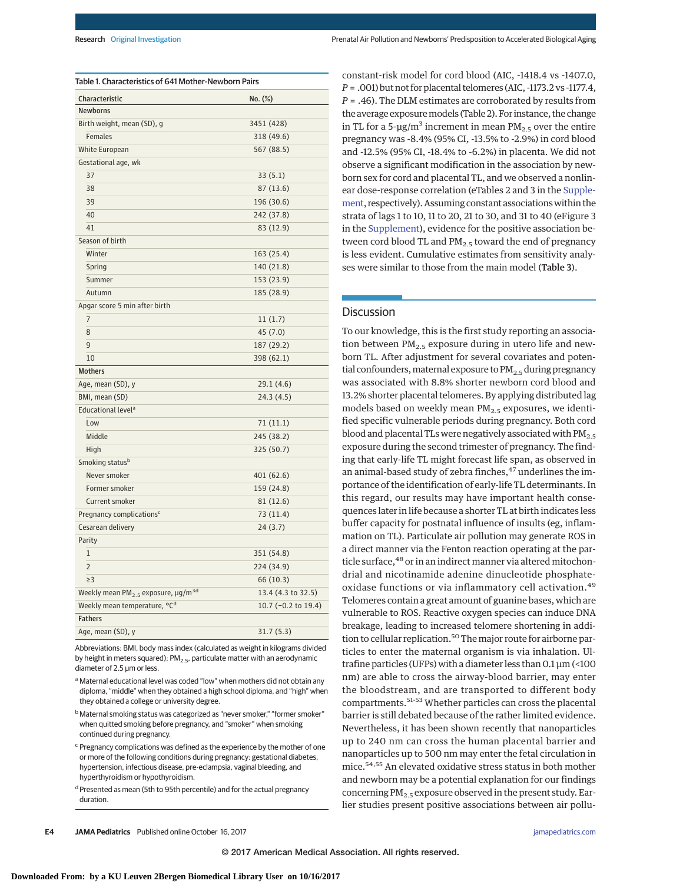| Characteristic                                             | No. (%)             |
|------------------------------------------------------------|---------------------|
| <b>Newborns</b>                                            |                     |
| Birth weight, mean (SD), g                                 | 3451 (428)          |
| <b>Females</b>                                             | 318 (49.6)          |
| <b>White European</b>                                      | 567 (88.5)          |
| Gestational age, wk                                        |                     |
| 37                                                         | 33(5.1)             |
| 38                                                         | 87(13.6)            |
| 39                                                         | 196 (30.6)          |
| 40                                                         | 242 (37.8)          |
| 41                                                         | 83 (12.9)           |
| Season of birth                                            |                     |
| Winter                                                     | 163 (25.4)          |
| Spring                                                     | 140 (21.8)          |
| Summer                                                     | 153 (23.9)          |
| Autumn                                                     | 185 (28.9)          |
| Apgar score 5 min after birth                              |                     |
| $\overline{7}$                                             | 11(1.7)             |
| 8                                                          | 45(7.0)             |
| 9                                                          | 187 (29.2)          |
| 10                                                         | 398 (62.1)          |
| <b>Mothers</b>                                             |                     |
| Age, mean (SD), y                                          | 29.1(4.6)           |
| BMI, mean (SD)                                             | 24.3(4.5)           |
| Educational level <sup>a</sup>                             |                     |
| Low                                                        | 71(11.1)            |
| Middle                                                     | 245 (38.2)          |
| High                                                       | 325 (50.7)          |
| Smoking statusb                                            |                     |
| Never smoker                                               | 401 (62.6)          |
| Former smoker                                              | 159 (24.8)          |
| Current smoker                                             | 81 (12.6)           |
| Pregnancy complications <sup>c</sup>                       | 73 (11.4)           |
| Cesarean delivery                                          | 24(3.7)             |
| Parity                                                     |                     |
| $\mathbf{1}$                                               | 351 (54.8)          |
| $\overline{2}$                                             | 224 (34.9)          |
| $\geq$ 3                                                   | 66 (10.3)           |
| Weekly mean PM <sub>2.5</sub> exposure, µg/m <sup>3d</sup> | 13.4 (4.3 to 32.5)  |
| Weekly mean temperature, <sup>o</sup> C <sup>d</sup>       | 10.7 (-0.2 to 19.4) |
| <b>Fathers</b>                                             |                     |
| Age, mean (SD), y                                          | 31.7(5.3)           |

Abbreviations: BMI, body mass index (calculated as weight in kilograms divided by height in meters squared);  $PM<sub>2.5</sub>$ , particulate matter with an aerodynamic diameter of 2.5 μm or less.

- a Maternal educational level was coded "low" when mothers did not obtain any diploma, "middle" when they obtained a high school diploma, and "high" when they obtained a college or university degree.
- <sup>b</sup> Maternal smoking status was categorized as "never smoker." "former smoker" when quitted smoking before pregnancy, and "smoker" when smoking continued during pregnancy.
- $c$  Pregnancy complications was defined as the experience by the mother of one or more of the following conditions during pregnancy: gestational diabetes, hypertension, infectious disease, pre-eclampsia, vaginal bleeding, and hyperthyroidism or hypothyroidism.
- <sup>d</sup> Presented as mean (5th to 95th percentile) and for the actual pregnancy duration.

constant-risk model for cord blood (AIC, -1418.4 vs -1407.0, *P* = .001) but not for placental telomeres (AIC, -1173.2 vs -1177.4, *P* = .46). The DLM estimates are corroborated by results from the average exposuremodels (Table 2). For instance, the change in TL for a 5- $\mu$ g/m<sup>3</sup> increment in mean PM<sub>2.5</sub> over the entire pregnancy was -8.4% (95% CI, -13.5% to -2.9%) in cord blood and -12.5% (95% CI, -18.4% to -6.2%) in placenta. We did not observe a significant modification in the association by newborn sex for cord and placental TL, and we observed a nonlinear dose-response correlation (eTables 2 and 3 in the [Supple](http://jama.jamanetwork.com/article.aspx?doi=10.1001/jamapediatrics.2017.3024&utm_campaign=articlePDF%26utm_medium=articlePDFlink%26utm_source=articlePDF%26utm_content=jamapediatrics.2017.3024)[ment,](http://jama.jamanetwork.com/article.aspx?doi=10.1001/jamapediatrics.2017.3024&utm_campaign=articlePDF%26utm_medium=articlePDFlink%26utm_source=articlePDF%26utm_content=jamapediatrics.2017.3024) respectively). Assuming constant associations within the strata of lags 1 to 10, 11 to 20, 21 to 30, and 31 to 40 (eFigure 3 in the [Supplement\)](http://jama.jamanetwork.com/article.aspx?doi=10.1001/jamapediatrics.2017.3024&utm_campaign=articlePDF%26utm_medium=articlePDFlink%26utm_source=articlePDF%26utm_content=jamapediatrics.2017.3024), evidence for the positive association between cord blood TL and  $PM_{2.5}$  toward the end of pregnancy is less evident. Cumulative estimates from sensitivity analyses were similar to those from the main model (Table 3).

## Discussion

To our knowledge, this is the first study reporting an association between  $PM_{2.5}$  exposure during in utero life and newborn TL. After adjustment for several covariates and potential confounders, maternal exposure to  $PM<sub>2.5</sub>$  during pregnancy was associated with 8.8% shorter newborn cord blood and 13.2% shorter placental telomeres. By applying distributed lag models based on weekly mean  $PM_{2.5}$  exposures, we identified specific vulnerable periods during pregnancy. Both cord blood and placental TLs were negatively associated with  $PM_{2.5}$ exposure during the second trimester of pregnancy. The finding that early-life TL might forecast life span, as observed in an animal-based study of zebra finches, <sup>47</sup> underlines the importance of the identification of early-life TL determinants. In this regard, our results may have important health consequences later in life because a shorter TL at birth indicates less buffer capacity for postnatal influence of insults (eg, inflammation on TL). Particulate air pollution may generate ROS in a direct manner via the Fenton reaction operating at the particle surface,<sup>48</sup> or in an indirect manner via altered mitochondrial and nicotinamide adenine dinucleotide phosphateoxidase functions or via inflammatory cell activation.<sup>49</sup> Telomeres contain a great amount of guanine bases, which are vulnerable to ROS. Reactive oxygen species can induce DNA breakage, leading to increased telomere shortening in addition to cellular replication.<sup>50</sup> The major route for airborne particles to enter the maternal organism is via inhalation. Ultrafine particles (UFPs) with a diameter less than 0.1 μm (<100 nm) are able to cross the airway-blood barrier, may enter the bloodstream, and are transported to different body compartments.51-53 Whether particles can cross the placental barrier is still debated because of the rather limited evidence. Nevertheless, it has been shown recently that nanoparticles up to 240 nm can cross the human placental barrier and nanoparticles up to 500 nm may enter the fetal circulation in mice.54,55 An elevated oxidative stress status in both mother and newborn may be a potential explanation for our findings concerning  $PM<sub>2.5</sub>$  exposure observed in the present study. Earlier studies present positive associations between air pollu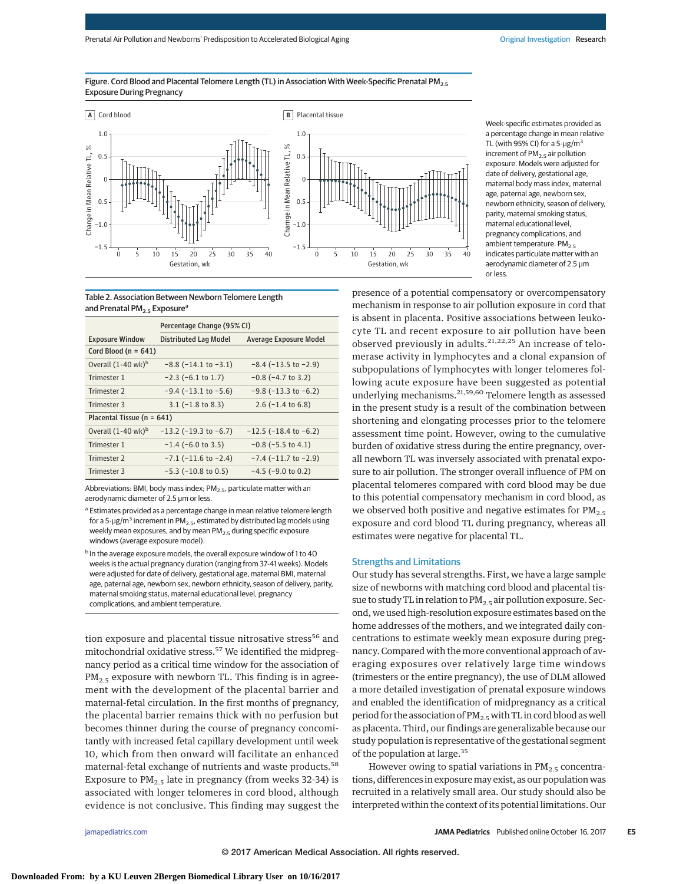Figure. Cord Blood and Placental Telomere Length (TL) in Association With Week-Specific Prenatal PM<sub>2.5</sub> Exposure During Pregnancy



Week-specific estimates provided as a percentage change in mean relative TL (with 95% CI) for a  $5-\mu g/m^3$ increment of  $PM<sub>2.5</sub>$  air pollution exposure. Models were adjusted for date of delivery, gestational age, maternal body mass index, maternal age, paternal age, newborn sex, newborn ethnicity, season of delivery, parity, maternal smoking status, maternal educational level, pregnancy complications, and ambient temperature. PM<sub>2.5</sub> indicates particulate matter with an aerodynamic diameter of 2.5 μm or less.

#### Table 2. Association Between Newborn Telomere Length and Prenatal PM $_{2.5}$  Exposure<sup>a</sup>

|                                | Percentage Change (95% CI)                             |                               |  |  |  |
|--------------------------------|--------------------------------------------------------|-------------------------------|--|--|--|
| <b>Exposure Window</b>         | <b>Distributed Lag Model</b><br>Average Exposure Model |                               |  |  |  |
| Cord Blood ( $n = 641$ )       |                                                        |                               |  |  |  |
| Overall (1-40 wk) <sup>b</sup> | $-8.8$ ( $-14.1$ to $-3.1$ )                           | $-8.4$ ( $-13.5$ to $-2.9$ )  |  |  |  |
| Trimester 1                    | $-2.3$ ( $-6.1$ to 1.7)                                | $-0.8$ ( $-4.7$ to 3.2)       |  |  |  |
| Trimester 2                    | $-9.4$ ( $-13.1$ to $-5.6$ )                           | $-9.8$ ( $-13.3$ to $-6.2$ )  |  |  |  |
| Trimester 3                    | $3.1$ (-1.8 to 8.3)                                    | $2.6$ (-1.4 to 6.8)           |  |  |  |
| Placental Tissue ( $n = 641$ ) |                                                        |                               |  |  |  |
| Overall $(1-40 \text{ wk})^b$  | $-13.2$ ( $-19.3$ to $-6.7$ )                          | $-12.5$ ( $-18.4$ to $-6.2$ ) |  |  |  |
| Trimester 1                    | $-1.4$ (-6.0 to 3.5)                                   | $-0.8$ ( $-5.5$ to 4.1)       |  |  |  |
| Trimester 2                    | $-7.1$ ( $-11.6$ to $-2.4$ )                           | $-7.4$ ( $-11.7$ to $-2.9$ )  |  |  |  |
| Trimester 3                    | $-5.3$ ( $-10.8$ to 0.5)                               | $-4.5$ ( $-9.0$ to 0.2)       |  |  |  |

Abbreviations: BMI, body mass index;  $PM<sub>2.5</sub>$ , particulate matter with an aerodynamic diameter of 2.5 μm or less.

 $^{\rm a}$  Estimates provided as a percentage change in mean relative telomere length for a 5- $\mu$ g/m<sup>3</sup> increment in PM<sub>2.5</sub>, estimated by distributed lag models using weekly mean exposures, and by mean PM<sub>2.5</sub> during specific exposure windows (average exposure model).

<sup>b</sup> In the average exposure models, the overall exposure window of 1 to 40 weeks is the actual pregnancy duration (ranging from 37-41 weeks). Models were adjusted for date of delivery, gestational age, maternal BMI, maternal age, paternal age, newborn sex, newborn ethnicity, season of delivery, parity, maternal smoking status, maternal educational level, pregnancy complications, and ambient temperature.

tion exposure and placental tissue nitrosative stress<sup>56</sup> and mitochondrial oxidative stress.<sup>57</sup> We identified the midpregnancy period as a critical time window for the association of  $PM<sub>2.5</sub>$  exposure with newborn TL. This finding is in agreement with the development of the placental barrier and maternal-fetal circulation. In the first months of pregnancy, the placental barrier remains thick with no perfusion but becomes thinner during the course of pregnancy concomitantly with increased fetal capillary development until week 10, which from then onward will facilitate an enhanced maternal-fetal exchange of nutrients and waste products.<sup>58</sup> Exposure to  $PM_{2.5}$  late in pregnancy (from weeks 32-34) is associated with longer telomeres in cord blood, although evidence is not conclusive. This finding may suggest the

presence of a potential compensatory or overcompensatory mechanism in response to air pollution exposure in cord that is absent in placenta. Positive associations between leukocyte TL and recent exposure to air pollution have been observed previously in adults.<sup>21,22,25</sup> An increase of telomerase activity in lymphocytes and a clonal expansion of subpopulations of lymphocytes with longer telomeres following acute exposure have been suggested as potential underlying mechanisms.<sup>21,59,60</sup> Telomere length as assessed in the present study is a result of the combination between shortening and elongating processes prior to the telomere assessment time point. However, owing to the cumulative burden of oxidative stress during the entire pregnancy, overall newborn TL was inversely associated with prenatal exposure to air pollution. The stronger overall influence of PM on placental telomeres compared with cord blood may be due to this potential compensatory mechanism in cord blood, as we observed both positive and negative estimates for  $PM_{2.5}$ exposure and cord blood TL during pregnancy, whereas all estimates were negative for placental TL.

#### Strengths and Limitations

Our study has several strengths. First, we have a large sample size of newborns with matching cord blood and placental tissue to study TL in relation to  $PM_{2.5}$  air pollution exposure. Second, we used high-resolution exposure estimates based on the home addresses of the mothers, and we integrated daily concentrations to estimate weekly mean exposure during pregnancy. Compared with the more conventional approach of averaging exposures over relatively large time windows (trimesters or the entire pregnancy), the use of DLM allowed a more detailed investigation of prenatal exposure windows and enabled the identification of midpregnancy as a critical period for the association of PM<sub>2.5</sub> with TL in cord blood as well as placenta. Third, our findings are generalizable because our study population is representative of the gestational segment of the population at large.<sup>35</sup>

However owing to spatial variations in  $PM_{2.5}$  concentrations, differences in exposuremay exist, as our population was recruited in a relatively small area. Our study should also be interpreted within the context of its potential limitations. Our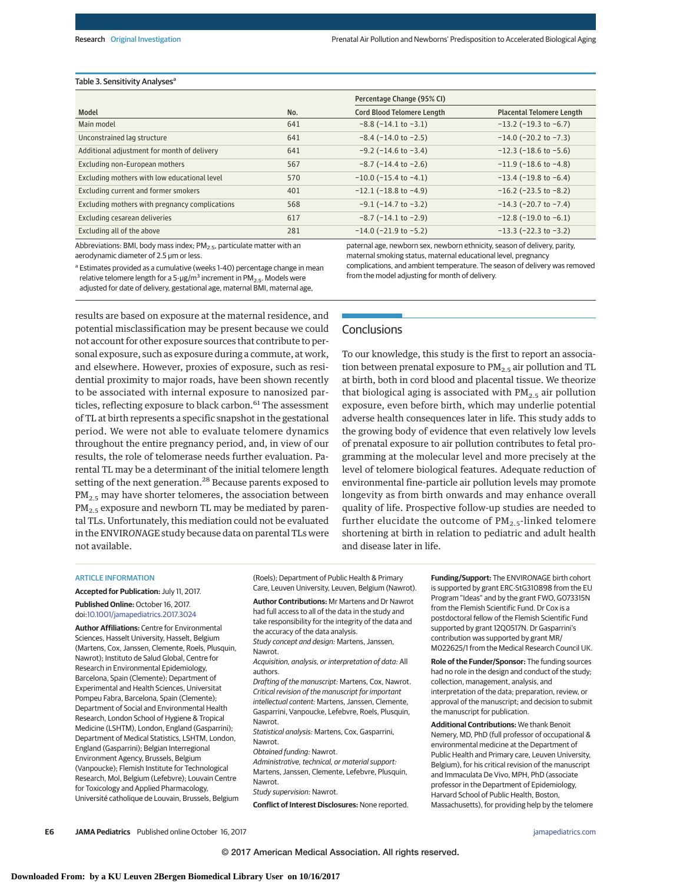#### Table 3. Sensitivity Analyses<sup>a</sup>

|                                                |     | Percentage Change (95% CI)        |                                  |  |
|------------------------------------------------|-----|-----------------------------------|----------------------------------|--|
| Model                                          | No. | <b>Cord Blood Telomere Length</b> | <b>Placental Telomere Length</b> |  |
| Main model                                     | 641 | $-8.8$ ( $-14.1$ to $-3.1$ )      | $-13.2$ (-19.3 to -6.7)          |  |
| Unconstrained lag structure                    | 641 | $-8.4$ ( $-14.0$ to $-2.5$ )      | $-14.0$ ( $-20.2$ to $-7.3$ )    |  |
| Additional adjustment for month of delivery    | 641 | $-9.2$ ( $-14.6$ to $-3.4$ )      | $-12.3$ ( $-18.6$ to $-5.6$ )    |  |
| Excluding non-European mothers                 | 567 | $-8.7$ ( $-14.4$ to $-2.6$ )      | $-11.9$ ( $-18.6$ to $-4.8$ )    |  |
| Excluding mothers with low educational level   | 570 | $-10.0$ ( $-15.4$ to $-4.1$ )     | $-13.4$ ( $-19.8$ to $-6.4$ )    |  |
| Excluding current and former smokers           | 401 | $-12.1$ ( $-18.8$ to $-4.9$ )     | $-16.2$ ( $-23.5$ to $-8.2$ )    |  |
| Excluding mothers with pregnancy complications | 568 | $-9.1$ ( $-14.7$ to $-3.2$ )      | $-14.3$ ( $-20.7$ to $-7.4$ )    |  |
| Excluding cesarean deliveries                  | 617 | $-8.7$ ( $-14.1$ to $-2.9$ )      | $-12.8$ ( $-19.0$ to $-6.1$ )    |  |
| Excluding all of the above                     | 281 | $-14.0$ ( $-21.9$ to $-5.2$ )     | $-13.3$ ( $-22.3$ to $-3.2$ )    |  |

Abbreviations: BMI, body mass index; PM<sub>2.5</sub>, particulate matter with an aerodynamic diameter of 2.5 μm or less.

<sup>a</sup> Estimates provided as a cumulative (weeks 1-40) percentage change in mean relative telomere length for a 5- $\mu$ g/m<sup>3</sup> increment in PM<sub>2.5</sub>. Models were adjusted for date of delivery, gestational age, maternal BMI, maternal age,

paternal age, newborn sex, newborn ethnicity, season of delivery, parity, maternal smoking status, maternal educational level, pregnancy complications, and ambient temperature. The season of delivery was removed from the model adjusting for month of delivery.

results are based on exposure at the maternal residence, and potential misclassification may be present because we could not account for other exposure sources that contribute to personal exposure, such as exposure during a commute, at work, and elsewhere. However, proxies of exposure, such as residential proximity to major roads, have been shown recently to be associated with internal exposure to nanosized particles, reflecting exposure to black carbon.<sup>61</sup> The assessment of TL at birth represents a specific snapshot in the gestational period. We were not able to evaluate telomere dynamics throughout the entire pregnancy period, and, in view of our results, the role of telomerase needs further evaluation. Parental TL may be a determinant of the initial telomere length setting of the next generation.<sup>28</sup> Because parents exposed to  $PM<sub>2.5</sub>$  may have shorter telomeres, the association between  $PM<sub>2.5</sub>$  exposure and newborn TL may be mediated by parental TLs. Unfortunately, this mediation could not be evaluated in the ENVIR*ON*AGE study because data on parental TLs were not available.

## **Conclusions**

To our knowledge, this study is the first to report an association between prenatal exposure to  $PM_{2.5}$  air pollution and TL at birth, both in cord blood and placental tissue. We theorize that biological aging is associated with  $PM_{2.5}$  air pollution exposure, even before birth, which may underlie potential adverse health consequences later in life. This study adds to the growing body of evidence that even relatively low levels of prenatal exposure to air pollution contributes to fetal programming at the molecular level and more precisely at the level of telomere biological features. Adequate reduction of environmental fine-particle air pollution levels may promote longevity as from birth onwards and may enhance overall quality of life. Prospective follow-up studies are needed to further elucidate the outcome of  $PM_{2.5}$ -linked telomere shortening at birth in relation to pediatric and adult health and disease later in life.

#### ARTICLE INFORMATION

**Accepted for Publication:** July 11, 2017. **Published Online:** October 16, 2017. doi[:10.1001/jamapediatrics.2017.3024](http://jama.jamanetwork.com/article.aspx?doi=10.1001/jamapediatrics.2017.3024&utm_campaign=articlePDF%26utm_medium=articlePDFlink%26utm_source=articlePDF%26utm_content=jamapediatrics.2017.3024)

**Author Affiliations:** Centre for Environmental Sciences, Hasselt University, Hasselt, Belgium (Martens, Cox, Janssen, Clemente, Roels, Plusquin, Nawrot); Instituto de Salud Global, Centre for Research in Environmental Epidemiology, Barcelona, Spain (Clemente); Department of Experimental and Health Sciences, Universitat Pompeu Fabra, Barcelona, Spain (Clemente); Department of Social and Environmental Health Research, London School of Hygiene & Tropical Medicine (LSHTM), London, England (Gasparrini); Department of Medical Statistics, LSHTM, London, England (Gasparrini); Belgian Interregional Environment Agency, Brussels, Belgium (Vanpoucke); Flemish Institute for Technological Research, Mol, Belgium (Lefebvre); Louvain Centre for Toxicology and Applied Pharmacology, Université catholique de Louvain, Brussels, Belgium (Roels); Department of Public Health & Primary Care, Leuven University, Leuven, Belgium (Nawrot).

**Author Contributions:** Mr Martens and Dr Nawrot had full access to all of the data in the study and take responsibility for the integrity of the data and the accuracy of the data analysis. Study concept and design: Martens, Janssen,

Nawrot. Acquisition, analysis, or interpretation of data: All authors.

Drafting of the manuscript: Martens, Cox, Nawrot. Critical revision of the manuscript for important intellectual content: Martens, Janssen, Clemente, Gasparrini, Vanpoucke, Lefebvre, Roels, Plusquin, Nawrot.

Statistical analysis: Martens, Cox, Gasparrini,

Nawrot.

Obtained funding: Nawrot. Administrative, technical, or material support: Martens, Janssen, Clemente, Lefebvre, Plusquin, Nawrot.

Study supervision: Nawrot.

**Conflict of Interest Disclosures:** None reported.

**Funding/Support:** The ENVIRONAGE birth cohort is supported by grant ERC-StG310898 from the EU Program "Ideas" and by the grant FWO, G073315N from the Flemish Scientific Fund. Dr Cox is a postdoctoral fellow of the Flemish Scientific Fund supported by grant 12Q0517N. Dr Gasparrini's contribution was supported by grant MR/ M022625/1 from the Medical Research Council UK.

**Role of the Funder/Sponsor:** The funding sources had no role in the design and conduct of the study; collection, management, analysis, and interpretation of the data; preparation, review, or approval of the manuscript; and decision to submit the manuscript for publication.

**Additional Contributions:** We thank Benoit Nemery, MD, PhD (full professor of occupational & environmental medicine at the Department of Public Health and Primary care, Leuven University, Belgium), for his critical revision of the manuscript and Immaculata De Vivo, MPH, PhD (associate professor in the Department of Epidemiology, Harvard School of Public Health, Boston, Massachusetts), for providing help by the telomere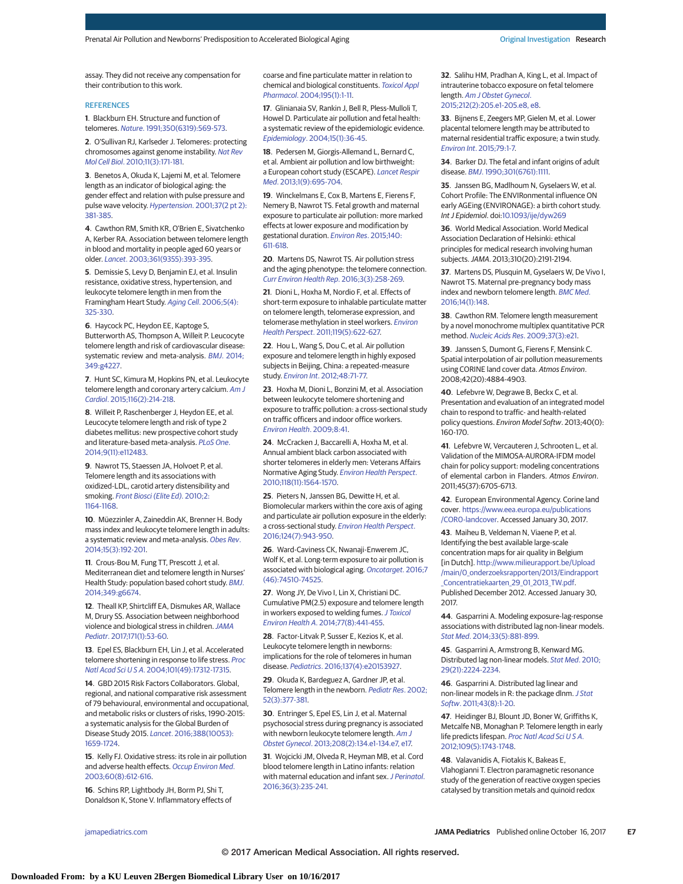assay. They did not receive any compensation for their contribution to this work.

#### **REFERENCES**

**1**. Blackburn EH. Structure and function of telomeres. Nature[. 1991;350\(6319\):569-573.](https://www.ncbi.nlm.nih.gov/pubmed/1708110)

**2**. O'Sullivan RJ, Karlseder J. Telomeres: protecting chromosomes against genome instability. [Nat Rev](https://www.ncbi.nlm.nih.gov/pubmed/20125188) Mol Cell Biol[. 2010;11\(3\):171-181.](https://www.ncbi.nlm.nih.gov/pubmed/20125188)

**3**. Benetos A, Okuda K, Lajemi M, et al. Telomere length as an indicator of biological aging: the gender effect and relation with pulse pressure and pulse wave velocity. Hypertension[. 2001;37\(2 pt 2\):](https://www.ncbi.nlm.nih.gov/pubmed/11230304) [381-385.](https://www.ncbi.nlm.nih.gov/pubmed/11230304)

**4**. Cawthon RM, Smith KR, O'Brien E, Sivatchenko A, Kerber RA. Association between telomere length in blood and mortality in people aged 60 years or older. Lancet[. 2003;361\(9355\):393-395.](https://www.ncbi.nlm.nih.gov/pubmed/12573379)

**5**. Demissie S, Levy D, Benjamin EJ, et al. Insulin resistance, oxidative stress, hypertension, and leukocyte telomere length in men from the Framingham Heart Study. Aging Cell[. 2006;5\(4\):](https://www.ncbi.nlm.nih.gov/pubmed/16913878) [325-330.](https://www.ncbi.nlm.nih.gov/pubmed/16913878)

**6**. Haycock PC, Heydon EE, Kaptoge S, Butterworth AS, Thompson A, Willeit P. Leucocyte telomere length and risk of cardiovascular disease: systematic review and meta-analysis. BMJ[. 2014;](https://www.ncbi.nlm.nih.gov/pubmed/25006006) [349:g4227.](https://www.ncbi.nlm.nih.gov/pubmed/25006006)

**7**. Hunt SC, Kimura M, Hopkins PN, et al. Leukocyte telomere length and coronary artery calcium. [Am J](https://www.ncbi.nlm.nih.gov/pubmed/25960381) Cardiol[. 2015;116\(2\):214-218.](https://www.ncbi.nlm.nih.gov/pubmed/25960381)

**8**. Willeit P, Raschenberger J, Heydon EE, et al. Leucocyte telomere length and risk of type 2 diabetes mellitus: new prospective cohort study and literature-based meta-analysis. [PLoS One](https://www.ncbi.nlm.nih.gov/pubmed/25390655). [2014;9\(11\):e112483.](https://www.ncbi.nlm.nih.gov/pubmed/25390655)

**9**. Nawrot TS, Staessen JA, Holvoet P, et al. Telomere length and its associations with oxidized-LDL, carotid artery distensibility and smoking. [Front Biosci \(Elite Ed\)](https://www.ncbi.nlm.nih.gov/pubmed/20515788). 2010;2: [1164-1168.](https://www.ncbi.nlm.nih.gov/pubmed/20515788)

**10**. Müezzinler A, Zaineddin AK, Brenner H. Body mass index and leukocyte telomere length in adults: a systematic review and meta-analysis. [Obes Rev](https://www.ncbi.nlm.nih.gov/pubmed/24165286). [2014;15\(3\):192-201.](https://www.ncbi.nlm.nih.gov/pubmed/24165286)

**11**. Crous-Bou M, Fung TT, Prescott J, et al. Mediterranean diet and telomere length in Nurses' Health Study: population based cohort study. [BMJ](https://www.ncbi.nlm.nih.gov/pubmed/25467028). [2014;349:g6674.](https://www.ncbi.nlm.nih.gov/pubmed/25467028)

**12**. Theall KP, Shirtcliff EA, Dismukes AR, Wallace M, Drury SS. Association between neighborhood violence and biological stress in children.[JAMA](https://www.ncbi.nlm.nih.gov/pubmed/27842189) Pediatr[. 2017;171\(1\):53-60.](https://www.ncbi.nlm.nih.gov/pubmed/27842189)

**13**. Epel ES, Blackburn EH, Lin J, et al. Accelerated telomere shortening in response to life stress. [Proc](https://www.ncbi.nlm.nih.gov/pubmed/15574496) Natl Acad SciUSA[. 2004;101\(49\):17312-17315.](https://www.ncbi.nlm.nih.gov/pubmed/15574496)

**14**. GBD 2015 Risk Factors Collaborators. Global, regional, and national comparative risk assessment of 79 behavioural, environmental and occupational, and metabolic risks or clusters of risks, 1990-2015: a systematic analysis for the Global Burden of Disease Study 2015. Lancet[. 2016;388\(10053\):](https://www.ncbi.nlm.nih.gov/pubmed/27733284) [1659-1724.](https://www.ncbi.nlm.nih.gov/pubmed/27733284)

**15**. Kelly FJ. Oxidative stress: its role in air pollution and adverse health effects. [Occup Environ Med](https://www.ncbi.nlm.nih.gov/pubmed/12883027). [2003;60\(8\):612-616.](https://www.ncbi.nlm.nih.gov/pubmed/12883027)

**16**. Schins RP, Lightbody JH, Borm PJ, Shi T, Donaldson K, Stone V. Inflammatory effects of coarse and fine particulate matter in relation to chemical and biological constituents. [Toxicol Appl](https://www.ncbi.nlm.nih.gov/pubmed/14962500) Pharmacol[. 2004;195\(1\):1-11.](https://www.ncbi.nlm.nih.gov/pubmed/14962500)

**17**. Glinianaia SV, Rankin J, Bell R, Pless-Mulloli T, Howel D. Particulate air pollution and fetal health: a systematic review of the epidemiologic evidence. Epidemiology[. 2004;15\(1\):36-45.](https://www.ncbi.nlm.nih.gov/pubmed/14712145)

**18**. Pedersen M, Giorgis-Allemand L, Bernard C, et al. Ambient air pollution and low birthweight: a European cohort study (ESCAPE). [Lancet Respir](https://www.ncbi.nlm.nih.gov/pubmed/24429273) Med[. 2013;1\(9\):695-704.](https://www.ncbi.nlm.nih.gov/pubmed/24429273)

**19**. Winckelmans E, Cox B, Martens E, Fierens F, Nemery B, Nawrot TS. Fetal growth and maternal exposure to particulate air pollution: more marked effects at lower exposure and modification by gestational duration. [Environ Res](https://www.ncbi.nlm.nih.gov/pubmed/26056995). 2015;140: [611-618.](https://www.ncbi.nlm.nih.gov/pubmed/26056995)

**20**. Martens DS, Nawrot TS. Air pollution stress and the aging phenotype: the telomere connection. [Curr Environ Health Rep](https://www.ncbi.nlm.nih.gov/pubmed/27357566). 2016;3(3):258-269.

**21**. Dioni L, Hoxha M, Nordio F, et al. Effects of short-term exposure to inhalable particulate matter on telomere length, telomerase expression, and telomerase methylation in steel workers. [Environ](https://www.ncbi.nlm.nih.gov/pubmed/21169126) Health Perspect[. 2011;119\(5\):622-627.](https://www.ncbi.nlm.nih.gov/pubmed/21169126)

**22**. Hou L, Wang S, Dou C, et al. Air pollution exposure and telomere length in highly exposed subjects in Beijing, China: a repeated-measure study. Environ Int[. 2012;48:71-77.](https://www.ncbi.nlm.nih.gov/pubmed/22871507)

**23**. Hoxha M, Dioni L, Bonzini M, et al. Association between leukocyte telomere shortening and exposure to traffic pollution: a cross-sectional study on traffic officers and indoor office workers. [Environ Health](https://www.ncbi.nlm.nih.gov/pubmed/19772576). 2009;8:41.

**24**. McCracken J, Baccarelli A, Hoxha M, et al. Annual ambient black carbon associated with shorter telomeres in elderly men: Veterans Affairs Normative Aging Study. [Environ Health Perspect](https://www.ncbi.nlm.nih.gov/pubmed/21465749). [2010;118\(11\):1564-1570.](https://www.ncbi.nlm.nih.gov/pubmed/21465749)

**25**. Pieters N, Janssen BG, Dewitte H, et al. Biomolecular markers within the core axis of aging and particulate air pollution exposure in the elderly: a cross-sectional study. [Environ Health Perspect](https://www.ncbi.nlm.nih.gov/pubmed/26672058). [2016;124\(7\):943-950.](https://www.ncbi.nlm.nih.gov/pubmed/26672058)

**26**. Ward-Caviness CK, Nwanaji-Enwerem JC, Wolf K, et al. Long-term exposure to air pollution is associated with biological aging. [Oncotarget](https://www.ncbi.nlm.nih.gov/pubmed/27793020). 2016;7 [\(46\):74510-74525.](https://www.ncbi.nlm.nih.gov/pubmed/27793020)

**27**. Wong JY, De Vivo I, Lin X, Christiani DC. Cumulative PM(2.5) exposure and telomere length in workers exposed to welding fumes. [J Toxicol](https://www.ncbi.nlm.nih.gov/pubmed/24627998) Environ Health A[. 2014;77\(8\):441-455.](https://www.ncbi.nlm.nih.gov/pubmed/24627998)

**28**. Factor-Litvak P, Susser E, Kezios K, et al. Leukocyte telomere length in newborns: implications for the role of telomeres in human disease. Pediatrics[. 2016;137\(4\):e20153927.](https://www.ncbi.nlm.nih.gov/pubmed/26969272)

**29**. Okuda K, Bardeguez A, Gardner JP, et al. Telomere length in the newborn. [Pediatr Res](https://www.ncbi.nlm.nih.gov/pubmed/12193671). 2002; [52\(3\):377-381.](https://www.ncbi.nlm.nih.gov/pubmed/12193671)

**30**. Entringer S, Epel ES, Lin J, et al. Maternal psychosocial stress during pregnancy is associated with newborn leukocyte telomere length. [Am J](https://www.ncbi.nlm.nih.gov/pubmed/23200710) Obstet Gynecol[. 2013;208\(2\):134.e1-134.e7, e17.](https://www.ncbi.nlm.nih.gov/pubmed/23200710)

**31**. Wojcicki JM, Olveda R, Heyman MB, et al. Cord blood telomere length in Latino infants: relation with maternal education and infant sex. *[J Perinatol](https://www.ncbi.nlm.nih.gov/pubmed/26633142)*. [2016;36\(3\):235-241.](https://www.ncbi.nlm.nih.gov/pubmed/26633142)

**32**. Salihu HM, Pradhan A, King L, et al. Impact of intrauterine tobacco exposure on fetal telomere length. [Am J Obstet Gynecol](https://www.ncbi.nlm.nih.gov/pubmed/25173189). [2015;212\(2\):205.e1-205.e8, e8.](https://www.ncbi.nlm.nih.gov/pubmed/25173189)

**33**. Bijnens E, Zeegers MP, Gielen M, et al. Lower placental telomere length may be attributed to maternal residential traffic exposure; a twin study. Environ Int[. 2015;79:1-7.](https://www.ncbi.nlm.nih.gov/pubmed/25756235)

**34**. Barker DJ. The fetal and infant origins of adult disease. BMJ[. 1990;301\(6761\):1111.](https://www.ncbi.nlm.nih.gov/pubmed/2252919)

**35**. Janssen BG, Madlhoum N, Gyselaers W, et al. Cohort Profile: The ENVIRonmental influence ON early AGEing (ENVIRONAGE): a birth cohort study. Int J Epidemiol. doi[:10.1093/ije/dyw269](http://dx.doi.org/10.1093/ije/dyw269)

**36**. World Medical Association. World Medical Association Declaration of Helsinki: ethical principles for medical research involving human subjects.JAMA. 2013;310(20):2191-2194.

**37**. Martens DS, Plusquin M, Gyselaers W, De Vivo I, Nawrot TS. Maternal pre-pregnancy body mass index and newborn telomere length. [BMC Med](https://www.ncbi.nlm.nih.gov/pubmed/27751173). [2016;14\(1\):148.](https://www.ncbi.nlm.nih.gov/pubmed/27751173)

**38**. Cawthon RM. Telomere length measurement by a novel monochrome multiplex quantitative PCR method. Nucleic Acids Res[. 2009;37\(3\):e21.](https://www.ncbi.nlm.nih.gov/pubmed/19129229)

**39**. Janssen S, Dumont G, Fierens F, Mensink C. Spatial interpolation of air pollution measurements using CORINE land cover data. Atmos Environ. 2008;42(20):4884-4903.

**40**. Lefebvre W, Degrawe B, Beckx C, et al. Presentation and evaluation of an integrated model chain to respond to traffic- and health-related policy questions. Environ Model Softw. 2013;40(0): 160-170.

**41**. Lefebvre W, Vercauteren J, Schrooten L, et al. Validation of the MIMOSA-AURORA-IFDM model chain for policy support: modeling concentrations of elemental carbon in Flanders. Atmos Environ. 2011;45(37):6705-6713.

**42**. European Environmental Agency. Corine land cover. [https://www.eea.europa.eu/publications](https://www.eea.europa.eu/publications/COR0-landcover) [/COR0-landcover](https://www.eea.europa.eu/publications/COR0-landcover). Accessed January 30, 2017.

**43**. Maiheu B, Veldeman N, Viaene P, et al. Identifying the best available large-scale concentration maps for air quality in Belgium [in Dutch]. [http://www.milieurapport.be/Upload](http://www.milieurapport.be/Upload/main/0_onderzoeksrapporten/2013/Eindrapport_Concentratiekaarten_29_01_2013_TW.pdf) [/main/0\\_onderzoeksrapporten/2013/Eindrapport](http://www.milieurapport.be/Upload/main/0_onderzoeksrapporten/2013/Eindrapport_Concentratiekaarten_29_01_2013_TW.pdf) [\\_Concentratiekaarten\\_29\\_01\\_2013\\_TW.pdf.](http://www.milieurapport.be/Upload/main/0_onderzoeksrapporten/2013/Eindrapport_Concentratiekaarten_29_01_2013_TW.pdf) Published December 2012. Accessed January 30, 2017.

**44**. Gasparrini A. Modeling exposure-lag-response associations with distributed lag non-linear models. Stat Med[. 2014;33\(5\):881-899.](https://www.ncbi.nlm.nih.gov/pubmed/24027094)

**45**. Gasparrini A, Armstrong B, Kenward MG. Distributed lag non-linear models. [Stat Med](https://www.ncbi.nlm.nih.gov/pubmed/20812303). 2010; [29\(21\):2224-2234.](https://www.ncbi.nlm.nih.gov/pubmed/20812303)

**46**. Gasparrini A. Distributed lag linear and non-linear models in R: the package dlnm. [J Stat](https://www.ncbi.nlm.nih.gov/pubmed/22003319) Softw[. 2011;43\(8\):1-20.](https://www.ncbi.nlm.nih.gov/pubmed/22003319)

**47**. Heidinger BJ, Blount JD, Boner W, Griffiths K, Metcalfe NB, Monaghan P. Telomere length in early life predicts lifespan. Proc Natl Acad Sci USA. [2012;109\(5\):1743-1748.](https://www.ncbi.nlm.nih.gov/pubmed/22232671)

**48**. Valavanidis A, Fiotakis K, Bakeas E, Vlahogianni T. Electron paramagnetic resonance study of the generation of reactive oxygen species catalysed by transition metals and quinoid redox